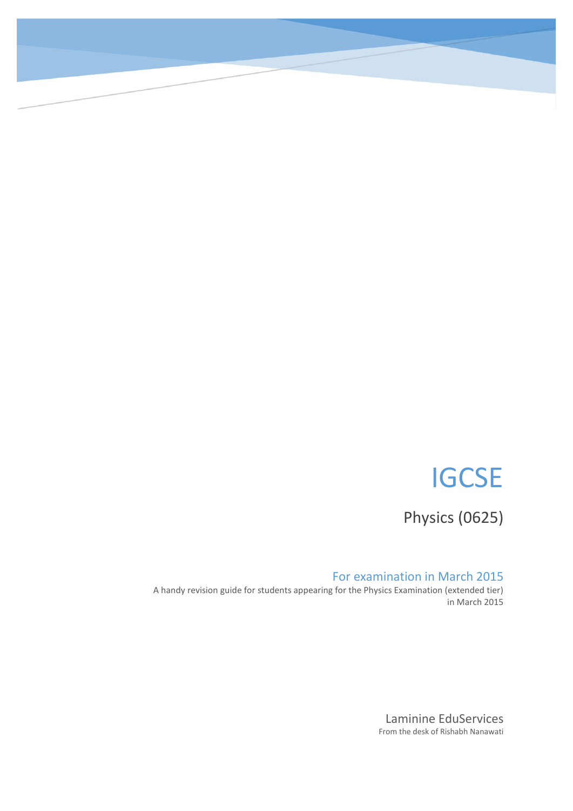# **IGCSE**

0

Physics (0625)

### For examination in March 2015

A handy revision guide for students appearing for the Physics Examination (extended tier) in March 2015

> Laminine EduServices From the desk of Rishabh Nanawati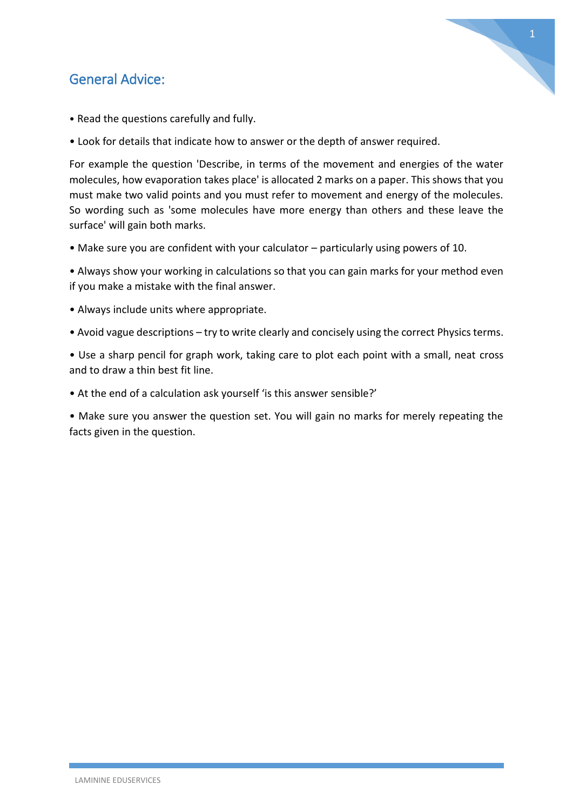### General Advice:



- Read the questions carefully and fully.
- Look for details that indicate how to answer or the depth of answer required.

For example the question 'Describe, in terms of the movement and energies of the water molecules, how evaporation takes place' is allocated 2 marks on a paper. This shows that you must make two valid points and you must refer to movement and energy of the molecules. So wording such as 'some molecules have more energy than others and these leave the surface' will gain both marks.

• Make sure you are confident with your calculator – particularly using powers of 10.

• Always show your working in calculations so that you can gain marks for your method even if you make a mistake with the final answer.

- Always include units where appropriate.
- Avoid vague descriptions try to write clearly and concisely using the correct Physics terms.

• Use a sharp pencil for graph work, taking care to plot each point with a small, neat cross and to draw a thin best fit line.

• At the end of a calculation ask yourself 'is this answer sensible?'

• Make sure you answer the question set. You will gain no marks for merely repeating the facts given in the question.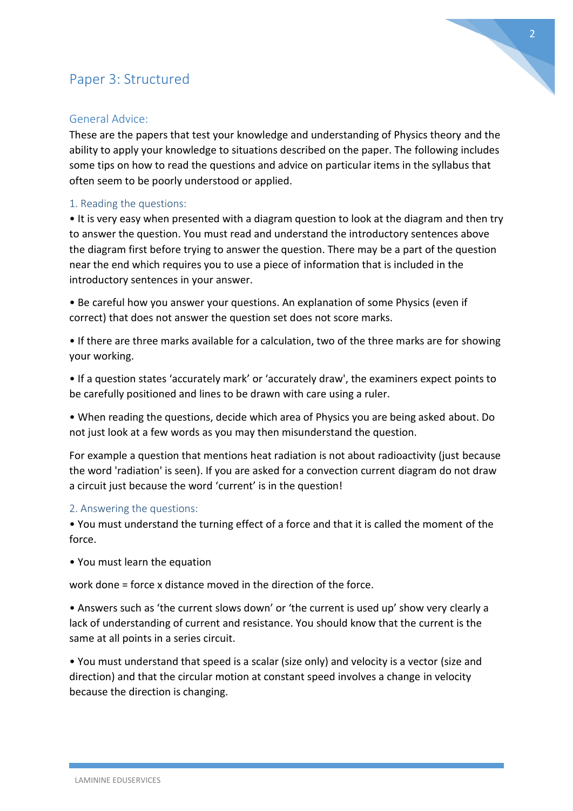### Paper 3: Structured

### General Advice:

These are the papers that test your knowledge and understanding of Physics theory and the ability to apply your knowledge to situations described on the paper. The following includes some tips on how to read the questions and advice on particular items in the syllabus that often seem to be poorly understood or applied.

#### 1. Reading the questions:

• It is very easy when presented with a diagram question to look at the diagram and then try to answer the question. You must read and understand the introductory sentences above the diagram first before trying to answer the question. There may be a part of the question near the end which requires you to use a piece of information that is included in the introductory sentences in your answer.

• Be careful how you answer your questions. An explanation of some Physics (even if correct) that does not answer the question set does not score marks.

• If there are three marks available for a calculation, two of the three marks are for showing your working.

• If a question states 'accurately mark' or 'accurately draw', the examiners expect points to be carefully positioned and lines to be drawn with care using a ruler.

• When reading the questions, decide which area of Physics you are being asked about. Do not just look at a few words as you may then misunderstand the question.

For example a question that mentions heat radiation is not about radioactivity (just because the word 'radiation' is seen). If you are asked for a convection current diagram do not draw a circuit just because the word 'current' is in the question!

#### 2. Answering the questions:

• You must understand the turning effect of a force and that it is called the moment of the force.

• You must learn the equation

work done = force x distance moved in the direction of the force.

• Answers such as 'the current slows down' or 'the current is used up' show very clearly a lack of understanding of current and resistance. You should know that the current is the same at all points in a series circuit.

• You must understand that speed is a scalar (size only) and velocity is a vector (size and direction) and that the circular motion at constant speed involves a change in velocity because the direction is changing.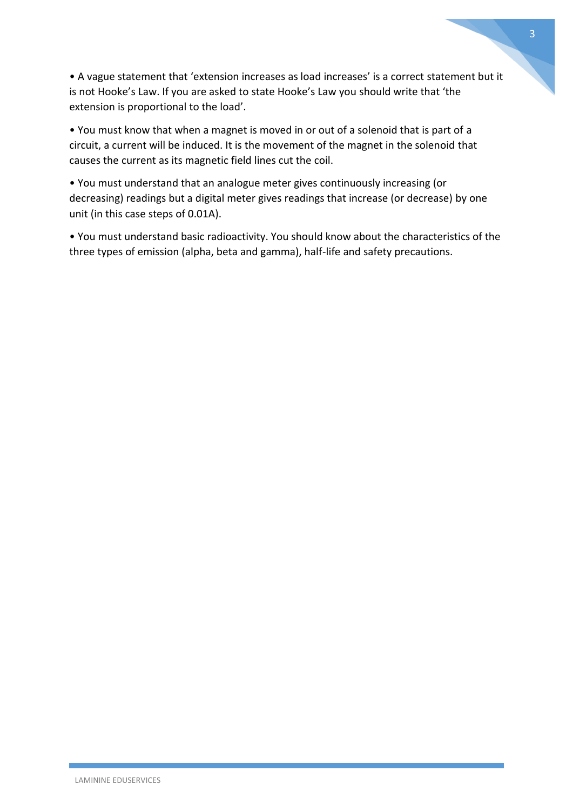• A vague statement that 'extension increases as load increases' is a correct statement but it is not Hooke's Law. If you are asked to state Hooke's Law you should write that 'the extension is proportional to the load'.

• You must know that when a magnet is moved in or out of a solenoid that is part of a circuit, a current will be induced. It is the movement of the magnet in the solenoid that causes the current as its magnetic field lines cut the coil.

• You must understand that an analogue meter gives continuously increasing (or decreasing) readings but a digital meter gives readings that increase (or decrease) by one unit (in this case steps of 0.01A).

• You must understand basic radioactivity. You should know about the characteristics of the three types of emission (alpha, beta and gamma), half-life and safety precautions.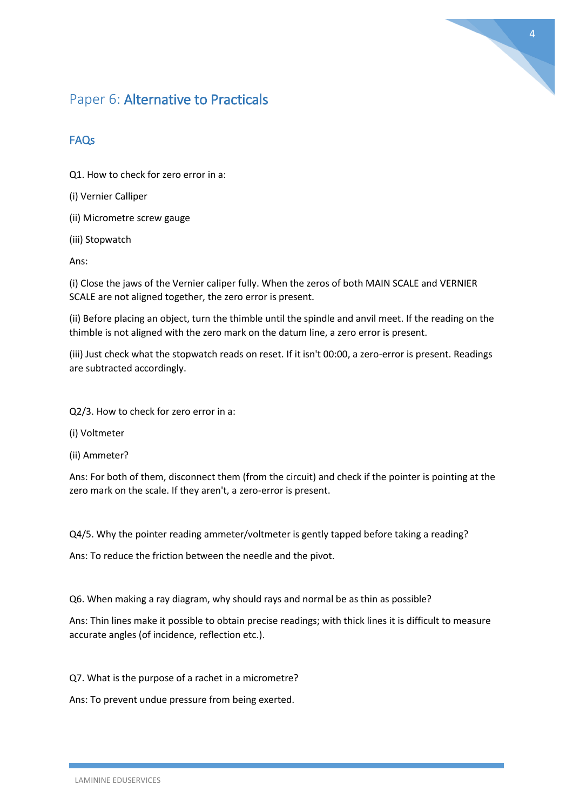

### Paper 6: Alternative to Practicals

### FAQs

Q1. How to check for zero error in a:

(i) Vernier Calliper

(ii) Micrometre screw gauge

(iii) Stopwatch

Ans:

(i) Close the jaws of the Vernier caliper fully. When the zeros of both MAIN SCALE and VERNIER SCALE are not aligned together, the zero error is present.

(ii) Before placing an object, turn the thimble until the spindle and anvil meet. If the reading on the thimble is not aligned with the zero mark on the datum line, a zero error is present.

(iii) Just check what the stopwatch reads on reset. If it isn't 00:00, a zero-error is present. Readings are subtracted accordingly.

Q2/3. How to check for zero error in a:

- (i) Voltmeter
- (ii) Ammeter?

Ans: For both of them, disconnect them (from the circuit) and check if the pointer is pointing at the zero mark on the scale. If they aren't, a zero-error is present.

Q4/5. Why the pointer reading ammeter/voltmeter is gently tapped before taking a reading?

Ans: To reduce the friction between the needle and the pivot.

Q6. When making a ray diagram, why should rays and normal be as thin as possible?

Ans: Thin lines make it possible to obtain precise readings; with thick lines it is difficult to measure accurate angles (of incidence, reflection etc.).

Q7. What is the purpose of a rachet in a micrometre?

Ans: To prevent undue pressure from being exerted.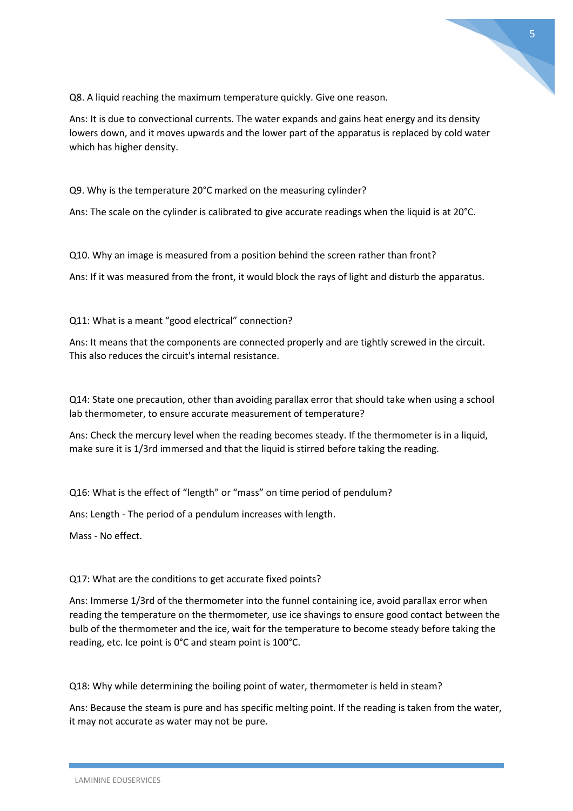

Q8. A liquid reaching the maximum temperature quickly. Give one reason.

Ans: It is due to convectional currents. The water expands and gains heat energy and its density lowers down, and it moves upwards and the lower part of the apparatus is replaced by cold water which has higher density.

Q9. Why is the temperature 20°C marked on the measuring cylinder?

Ans: The scale on the cylinder is calibrated to give accurate readings when the liquid is at 20°C.

Q10. Why an image is measured from a position behind the screen rather than front?

Ans: If it was measured from the front, it would block the rays of light and disturb the apparatus.

Q11: What is a meant "good electrical" connection?

Ans: It means that the components are connected properly and are tightly screwed in the circuit. This also reduces the circuit's internal resistance.

Q14: State one precaution, other than avoiding parallax error that should take when using a school lab thermometer, to ensure accurate measurement of temperature?

Ans: Check the mercury level when the reading becomes steady. If the thermometer is in a liquid, make sure it is 1/3rd immersed and that the liquid is stirred before taking the reading.

Q16: What is the effect of "length" or "mass" on time period of pendulum?

Ans: Length - The period of a pendulum increases with length.

Mass - No effect.

#### Q17: What are the conditions to get accurate fixed points?

Ans: Immerse 1/3rd of the thermometer into the funnel containing ice, avoid parallax error when reading the temperature on the thermometer, use ice shavings to ensure good contact between the bulb of the thermometer and the ice, wait for the temperature to become steady before taking the reading, etc. Ice point is 0°C and steam point is 100°C.

Q18: Why while determining the boiling point of water, thermometer is held in steam?

Ans: Because the steam is pure and has specific melting point. If the reading is taken from the water, it may not accurate as water may not be pure.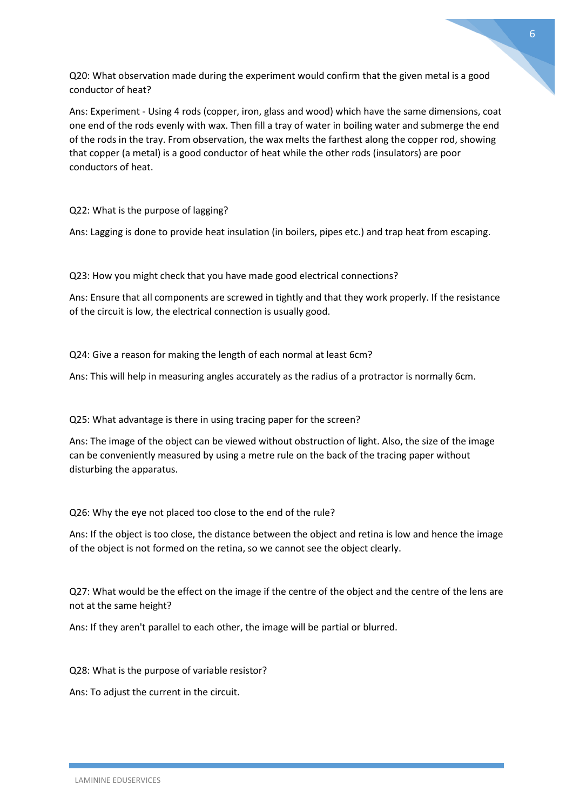Q20: What observation made during the experiment would confirm that the given metal is a good conductor of heat?

Ans: Experiment - Using 4 rods (copper, iron, glass and wood) which have the same dimensions, coat one end of the rods evenly with wax. Then fill a tray of water in boiling water and submerge the end of the rods in the tray. From observation, the wax melts the farthest along the copper rod, showing that copper (a metal) is a good conductor of heat while the other rods (insulators) are poor conductors of heat.

Q22: What is the purpose of lagging?

Ans: Lagging is done to provide heat insulation (in boilers, pipes etc.) and trap heat from escaping.

Q23: How you might check that you have made good electrical connections?

Ans: Ensure that all components are screwed in tightly and that they work properly. If the resistance of the circuit is low, the electrical connection is usually good.

Q24: Give a reason for making the length of each normal at least 6cm?

Ans: This will help in measuring angles accurately as the radius of a protractor is normally 6cm.

Q25: What advantage is there in using tracing paper for the screen?

Ans: The image of the object can be viewed without obstruction of light. Also, the size of the image can be conveniently measured by using a metre rule on the back of the tracing paper without disturbing the apparatus.

Q26: Why the eye not placed too close to the end of the rule?

Ans: If the object is too close, the distance between the object and retina is low and hence the image of the object is not formed on the retina, so we cannot see the object clearly.

Q27: What would be the effect on the image if the centre of the object and the centre of the lens are not at the same height?

Ans: If they aren't parallel to each other, the image will be partial or blurred.

Q28: What is the purpose of variable resistor?

Ans: To adjust the current in the circuit.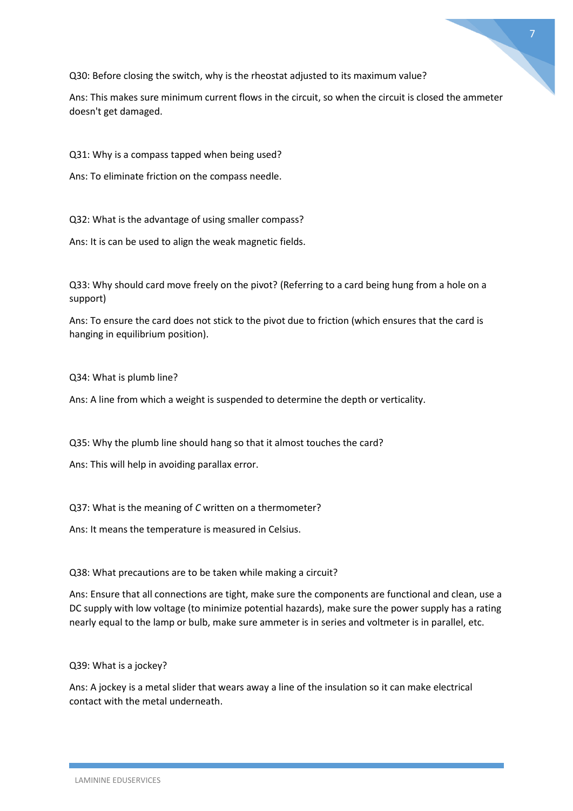

Q30: Before closing the switch, why is the rheostat adjusted to its maximum value?

Ans: This makes sure minimum current flows in the circuit, so when the circuit is closed the ammeter doesn't get damaged.

Q31: Why is a compass tapped when being used?

Ans: To eliminate friction on the compass needle.

Q32: What is the advantage of using smaller compass?

Ans: It is can be used to align the weak magnetic fields.

Q33: Why should card move freely on the pivot? (Referring to a card being hung from a hole on a support)

Ans: To ensure the card does not stick to the pivot due to friction (which ensures that the card is hanging in equilibrium position).

Q34: What is plumb line?

Ans: A line from which a weight is suspended to determine the depth or verticality.

Q35: Why the plumb line should hang so that it almost touches the card?

Ans: This will help in avoiding parallax error.

Q37: What is the meaning of *C* written on a thermometer?

Ans: It means the temperature is measured in Celsius.

Q38: What precautions are to be taken while making a circuit?

Ans: Ensure that all connections are tight, make sure the components are functional and clean, use a DC supply with low voltage (to minimize potential hazards), make sure the power supply has a rating nearly equal to the lamp or bulb, make sure ammeter is in series and voltmeter is in parallel, etc.

Q39: What is a jockey?

Ans: A jockey is a metal slider that wears away a line of the insulation so it can make electrical contact with the metal underneath.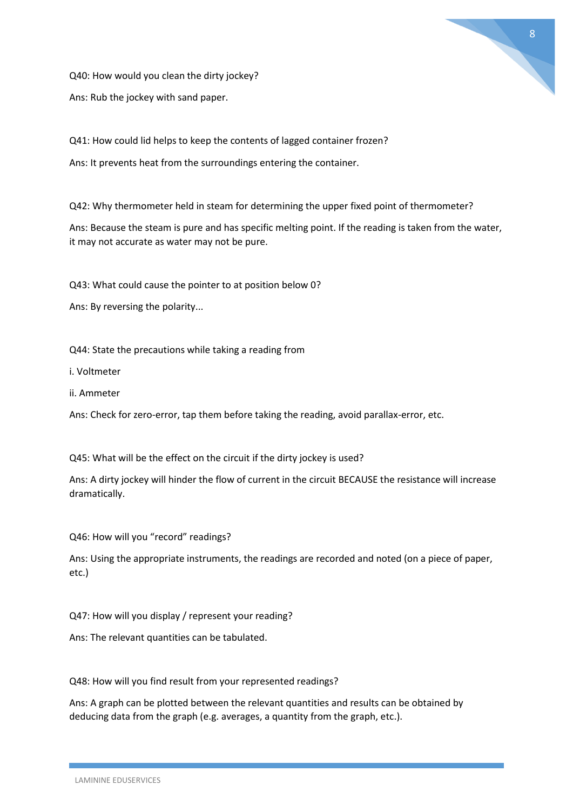

Q40: How would you clean the dirty jockey?

Ans: Rub the jockey with sand paper.

Q41: How could lid helps to keep the contents of lagged container frozen? Ans: It prevents heat from the surroundings entering the container.

Q42: Why thermometer held in steam for determining the upper fixed point of thermometer?

Ans: Because the steam is pure and has specific melting point. If the reading is taken from the water, it may not accurate as water may not be pure.

Q43: What could cause the pointer to at position below 0?

Ans: By reversing the polarity...

Q44: State the precautions while taking a reading from

i. Voltmeter

ii. Ammeter

Ans: Check for zero-error, tap them before taking the reading, avoid parallax-error, etc.

Q45: What will be the effect on the circuit if the dirty jockey is used?

Ans: A dirty jockey will hinder the flow of current in the circuit BECAUSE the resistance will increase dramatically.

Q46: How will you "record" readings?

Ans: Using the appropriate instruments, the readings are recorded and noted (on a piece of paper, etc.)

Q47: How will you display / represent your reading?

Ans: The relevant quantities can be tabulated.

Q48: How will you find result from your represented readings?

Ans: A graph can be plotted between the relevant quantities and results can be obtained by deducing data from the graph (e.g. averages, a quantity from the graph, etc.).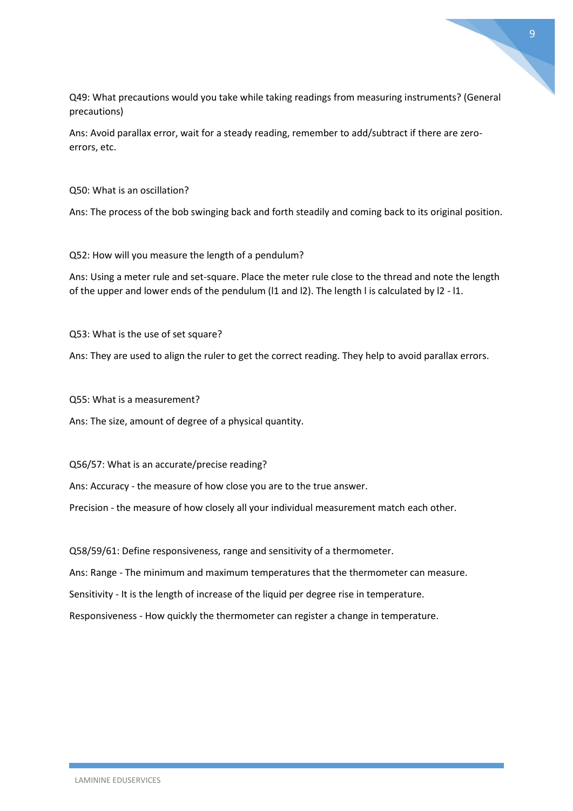Q49: What precautions would you take while taking readings from measuring instruments? (General precautions)

Ans: Avoid parallax error, wait for a steady reading, remember to add/subtract if there are zeroerrors, etc.

Q50: What is an oscillation?

Ans: The process of the bob swinging back and forth steadily and coming back to its original position.

Q52: How will you measure the length of a pendulum?

Ans: Using a meter rule and set-square. Place the meter rule close to the thread and note the length of the upper and lower ends of the pendulum (l1 and l2). The length l is calculated by l2 - l1.

Q53: What is the use of set square?

Ans: They are used to align the ruler to get the correct reading. They help to avoid parallax errors.

Q55: What is a measurement?

Ans: The size, amount of degree of a physical quantity.

Q56/57: What is an accurate/precise reading?

Ans: Accuracy - the measure of how close you are to the true answer.

Precision - the measure of how closely all your individual measurement match each other.

Q58/59/61: Define responsiveness, range and sensitivity of a thermometer.

Ans: Range - The minimum and maximum temperatures that the thermometer can measure.

Sensitivity - It is the length of increase of the liquid per degree rise in temperature.

Responsiveness - How quickly the thermometer can register a change in temperature.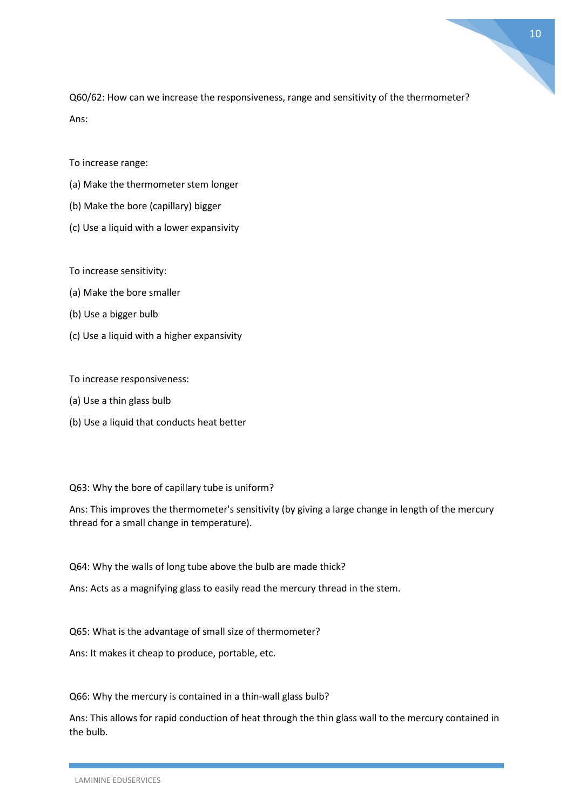Q60/62: How can we increase the responsiveness, range and sensitivity of the thermometer? Ans:

To increase range:

- (a) Make the thermometer stem longer
- (b) Make the bore (capillary) bigger
- (c) Use a liquid with a lower expansivity

To increase sensitivity:

- (a) Make the bore smaller
- (b) Use a bigger bulb
- (c) Use a liquid with a higher expansivity

To increase responsiveness:

- (a) Use a thin glass bulb
- (b) Use a liquid that conducts heat better

#### Q63: Why the bore of capillary tube is uniform?

Ans: This improves the thermometer's sensitivity (by giving a large change in length of the mercury thread for a small change in temperature).

Q64: Why the walls of long tube above the bulb are made thick?

Ans: Acts as a magnifying glass to easily read the mercury thread in the stem.

Q65: What is the advantage of small size of thermometer?

Ans: It makes it cheap to produce, portable, etc.

Q66: Why the mercury is contained in a thin-wall glass bulb?

Ans: This allows for rapid conduction of heat through the thin glass wall to the mercury contained in the bulb.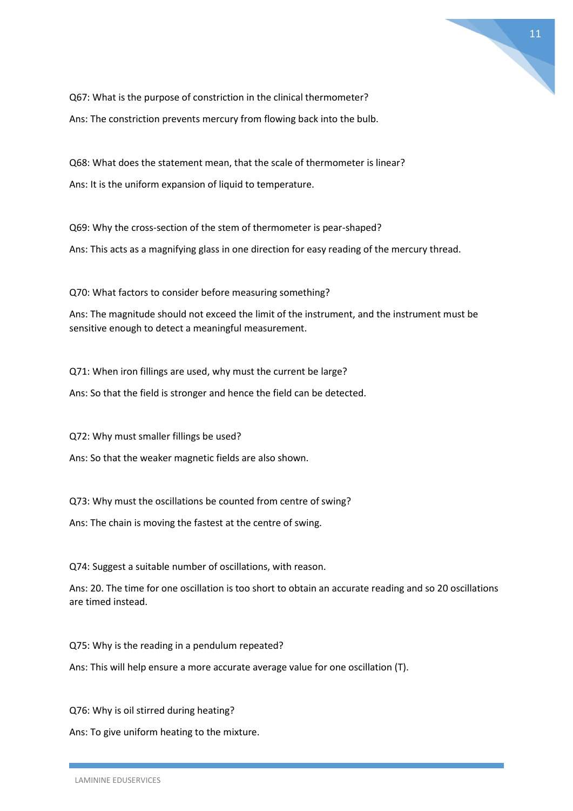

Q67: What is the purpose of constriction in the clinical thermometer? Ans: The constriction prevents mercury from flowing back into the bulb.

Q68: What does the statement mean, that the scale of thermometer is linear? Ans: It is the uniform expansion of liquid to temperature.

Q69: Why the cross-section of the stem of thermometer is pear-shaped? Ans: This acts as a magnifying glass in one direction for easy reading of the mercury thread.

Q70: What factors to consider before measuring something?

Ans: The magnitude should not exceed the limit of the instrument, and the instrument must be sensitive enough to detect a meaningful measurement.

Q71: When iron fillings are used, why must the current be large?

Ans: So that the field is stronger and hence the field can be detected.

Q72: Why must smaller fillings be used?

Ans: So that the weaker magnetic fields are also shown.

Q73: Why must the oscillations be counted from centre of swing?

Ans: The chain is moving the fastest at the centre of swing.

Q74: Suggest a suitable number of oscillations, with reason.

Ans: 20. The time for one oscillation is too short to obtain an accurate reading and so 20 oscillations are timed instead.

Q75: Why is the reading in a pendulum repeated?

Ans: This will help ensure a more accurate average value for one oscillation (T).

Q76: Why is oil stirred during heating?

Ans: To give uniform heating to the mixture.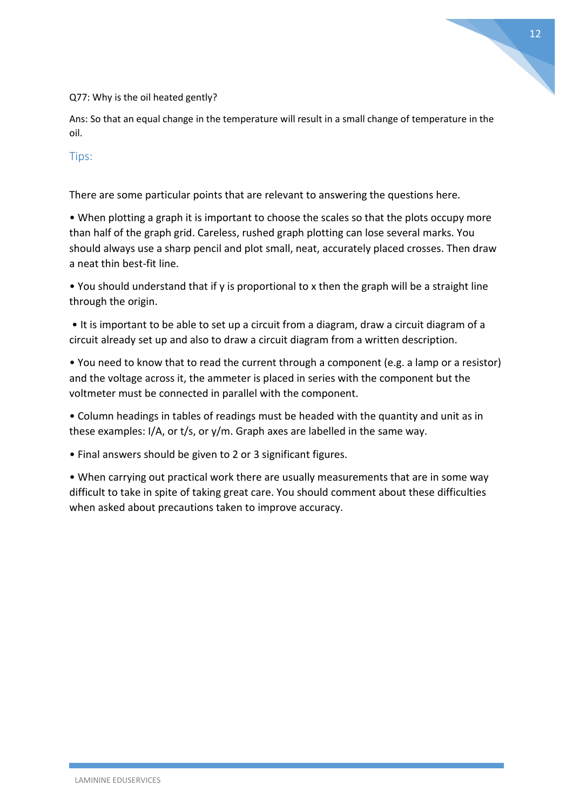Q77: Why is the oil heated gently?

Ans: So that an equal change in the temperature will result in a small change of temperature in the oil.

### Tips:

There are some particular points that are relevant to answering the questions here.

• When plotting a graph it is important to choose the scales so that the plots occupy more than half of the graph grid. Careless, rushed graph plotting can lose several marks. You should always use a sharp pencil and plot small, neat, accurately placed crosses. Then draw a neat thin best-fit line.

• You should understand that if y is proportional to x then the graph will be a straight line through the origin.

• It is important to be able to set up a circuit from a diagram, draw a circuit diagram of a circuit already set up and also to draw a circuit diagram from a written description.

• You need to know that to read the current through a component (e.g. a lamp or a resistor) and the voltage across it, the ammeter is placed in series with the component but the voltmeter must be connected in parallel with the component.

• Column headings in tables of readings must be headed with the quantity and unit as in these examples: I/A, or t/s, or y/m. Graph axes are labelled in the same way.

• Final answers should be given to 2 or 3 significant figures.

• When carrying out practical work there are usually measurements that are in some way difficult to take in spite of taking great care. You should comment about these difficulties when asked about precautions taken to improve accuracy.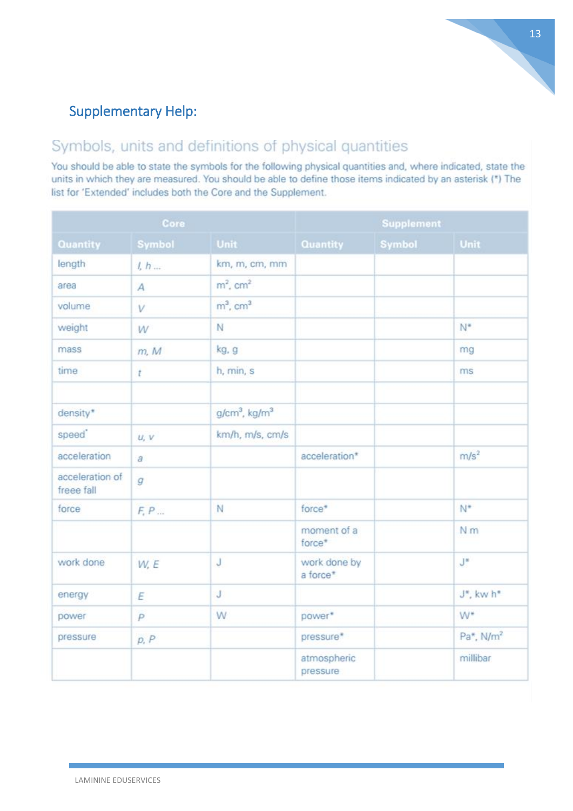## Supplementary Help:

# Symbols, units and definitions of physical quantities

You should be able to state the symbols for the following physical quantities and, where indicated, state the units in which they are measured. You should be able to define those items indicated by an asterisk (\*) The list for 'Extended' includes both the Core and the Supplement.

| Core                          |                |                             | <b>Supplement</b>        |        |                                    |
|-------------------------------|----------------|-----------------------------|--------------------------|--------|------------------------------------|
| Quantity                      | Symbol         | Unit                        | Quantity                 | Symbol | <b>Unit</b>                        |
| length                        | 1, h           | km, m, cm, mm               |                          |        |                                    |
| area                          | $\overline{A}$ | $m^2$ , cm <sup>2</sup>     |                          |        |                                    |
| volume                        | V              | $m3$ , cm <sup>3</sup>      |                          |        |                                    |
| weight                        | W              | N                           |                          |        | $N^*$                              |
| mass                          | m, M           | kg, g                       |                          |        | mg                                 |
| time                          | $\mathfrak{r}$ | h, min, s                   |                          |        | ms                                 |
| density*                      |                | $g/cm3$ , kg/m <sup>3</sup> |                          |        |                                    |
| speed <sup>*</sup>            | U, V           | km/h, m/s, cm/s             |                          |        |                                    |
| acceleration                  | $\partial$     |                             | acceleration*            |        | m/s <sup>2</sup>                   |
| acceleration of<br>freee fall | $\mathcal{G}$  |                             |                          |        |                                    |
| force                         | F, P           | N                           | force*                   |        | N*                                 |
|                               |                |                             | moment of a<br>force*    |        | N <sub>m</sub>                     |
| work done                     | W, E           | J                           | work done by<br>a force* |        | $J^*$                              |
| energy                        | E              | J                           |                          |        | J*, kw h*                          |
| power                         | $\overline{P}$ | W.                          | power*                   |        | $W^*$                              |
| pressure                      | p, P           |                             | pressure*                |        | Pa <sup>*</sup> , N/m <sup>2</sup> |
|                               |                |                             | atmospheric<br>pressure  |        | millibar                           |